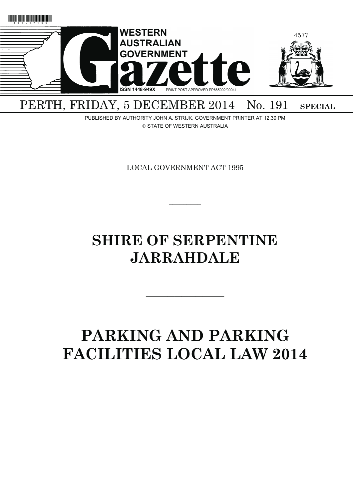

PERTH, FRIDAY, 5 DECEMBER 2014 No. 191 SPECIAL

PUBLISHED BY AUTHORITY JOHN A. STRIJK, GOVERNMENT PRINTER AT 12.30 PM © STATE OF WESTERN AUSTRALIA

LOCAL GOVERNMENT ACT 1995

 $\overline{\phantom{a}}$ 

# **SHIRE OF SERPENTINE JARRAHDALE**

# **PARKING AND PARKING FACILITIES LOCAL LAW 2014**

———————————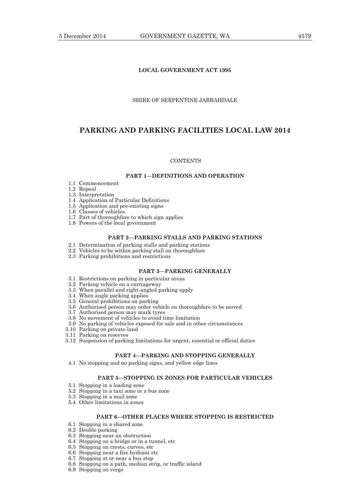## **LOCAL GOVERNMENT ACT 1995**

## SHIRE OF SERPENTINE JARRAHDALE

# **PARKING AND PARKING FACILITIES LOCAL LAW 2014**

#### **CONTENTS**

## **PART 1—DEFINITIONS AND OPERATION**

- 1.1 Commencement
- 1.2 Repeal
- 1.3 Interpretation
- 1.4 Application of Particular Definitions
- 1.5 Application and pre-existing signs
- 1.6 Classes of vehicles
- 1.7 Part of thoroughfare to which sign applies
- 1.8 Powers of the local government

# **PART 2—PARKING STALLS AND PARKING STATIONS**

- 2.1 Determination of parking stalls and parking stations
- 2.2 Vehicles to be within parking stall on thoroughfare
- 2.3 Parking prohibitions and restrictions

## **PART 3—PARKING GENERALLY**

- 3.1 Restrictions on parking in particular areas
- 3.2 Parking vehicle on a carriageway
- 3.3 When parallel and right-angled parking apply
- 3.4 When angle parking applies
- 3.5 General prohibitions on parking
- 3.6 Authorised person may order vehicle on thoroughfare to be moved
- 3.7 Authorised person may mark tyres
- 3.8 No movement of vehicles to avoid time limitation
- 3.9 No parking of vehicles exposed for sale and in other circumstances
- 3.10 Parking on private land
- 3.11 Parking on reserves
- 3.12 Suspension of parking limitations for urgent, essential or official duties

## **PART 4—PARKING AND STOPPING GENERALLY**

4.1 No stopping and no parking signs, and yellow edge lines

## **PART 5—STOPPING IN ZONES FOR PARTICULAR VEHICLES**

- 5.1 Stopping in a loading zone
- 5.2 Stopping in a taxi zone or a bus zone
- 5.3 Stopping in a mail zone
- 5.4 Other limitations in zones

## **PART 6—OTHER PLACES WHERE STOPPING IS RESTRICTED**

- 6.1 Stopping in a shared zone
- 6.2 Double parking
- 6.3 Stopping near an obstruction
- 6.4 Stopping on a bridge or in a tunnel, etc
- 6.5 Stopping on crests, curves, etc
- 6.6 Stopping near a fire hydrant etc
- 6.7 Stopping at or near a bus stop
- 6.8 Stopping on a path, median strip, or traffic island
- 6.9 Stopping on verge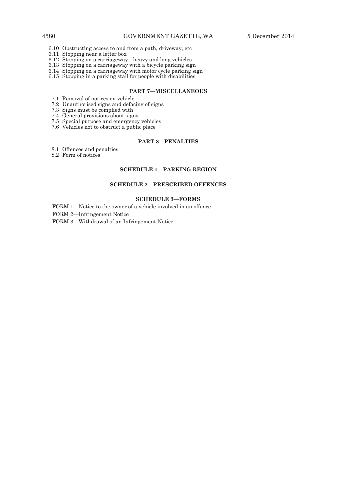- 6.10 Obstructing access to and from a path, driveway, etc
- 6.11 Stopping near a letter box
- 6.12 Stopping on a carriageway—heavy and long vehicles
- 6.13 Stopping on a carriageway with a bicycle parking sign
	- 6.14 Stopping on a carriageway with motor cycle parking sign 6.14 Stopping on a carriageway with motor cycle parking sign
	- 6.15 Stopping in a parking stall for people with disabilities

## **PART 7—MISCELLANEOUS**

- 7.1 Removal of notices on vehicle
- 7.2 Unauthorised signs and defacing of signs
	- 7.3 Signs must be complied with
	- 7.4 General provisions about signs
- 7.5 Special purpose and emergency vehicles
- 7.6 Vehicles not to obstruct a public place

## **PART 8—PENALTIES**

- 8.1 Offences and penalties
- 8.2 Form of notices

#### **SCHEDULE 1—PARKING REGION**

## **SCHEDULE 2—PRESCRIBED OFFENCES**

## **SCHEDULE 3—FORMS**

FORM 1—Notice to the owner of a vehicle involved in an offence

FORM 2—Infringement Notice

FORM 3—Withdrawal of an Infringement Notice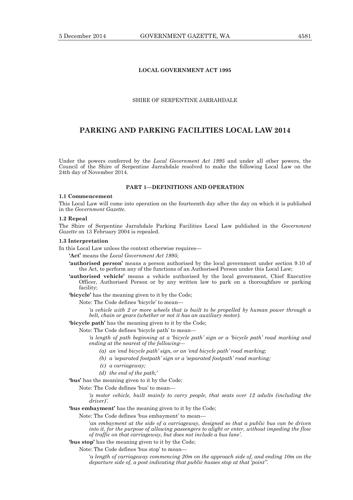## **LOCAL GOVERNMENT ACT 1995**

## SHIRE OF SERPENTINE JARRAHDALE

# **PARKING AND PARKING FACILITIES LOCAL LAW 2014**

Under the powers conferred by the *Local Government Act 1995* and under all other powers, the Council of the Shire of Serpentine Jarrahdale resolved to make the following Local Law on the 24th day of November 2014.

## **PART 1—DEFINITIONS AND OPERATION**

#### **1.1 Commencement**

This Local Law will come into operation on the fourteenth day after the day on which it is published in the *Government Gazette*.

## **1.2 Repeal**

The Shire of Serpentine Jarrahdale Parking Facilities Local Law published in the *Government Gazette* on 13 February 2004 is repealed.

#### **1.3 Interpretation**

In this Local Law unless the context otherwise requires—

- **'Act'** means the *Local Government Act 1995*;
- **'authorised person'** means a person authorised by the local government under section 9.10 of the Act, to perform any of the functions of an Authorised Person under this Local Law;
- **'authorised vehicle'** means a vehicle authorised by the local government, Chief Executive Officer, Authorised Person or by any written law to park on a thoroughfare or parking facility;
- **'bicycle'** has the meaning given to it by the Code;
	- Note: The Code defines 'bicycle' to mean—

*'a vehicle with 2 or more wheels that is built to be propelled by human power through a belt, chain or gears (whether or not it has an auxiliary motor).*

- **'bicycle path'** has the meaning given to it by the Code;
- Note: The Code defines 'bicycle path' to mean—

*'a length of path beginning at a 'bicycle path' sign or a 'bicycle path' road marking and ending at the nearest of the following—* 

- *(a) an 'end bicycle path' sign, or an 'end bicycle path' road marking;*
- *(b) a 'separated footpath' sign or a 'separated footpath' road marking;*
- *(c) a carriageway;*
- *(d) the end of the path;'*

**'bus'** has the meaning given to it by the Code;

Note: The Code defines 'bus' to mean—

*'a motor vehicle, built mainly to carry people, that seats over 12 adults (including the driver)'.* 

## **'bus embayment'** has the meaning given to it by the Code;

Note: The Code defines 'bus embayment' to mean—

'*an embayment at the side of a carriageway, designed so that a public bus can be driven into it, for the purpose of allowing passengers to alight or enter, without impeding the flow of traffic on that carriageway, but does not include a bus lane'.* 

## **'bus stop'** has the meaning given to it by the Code;

Note: The Code defines 'bus stop' to mean—

'*a length of carriageway commencing 20m on the approach side of, and ending 10m on the departure side of, a post indicating that public busses stop at that 'point''.*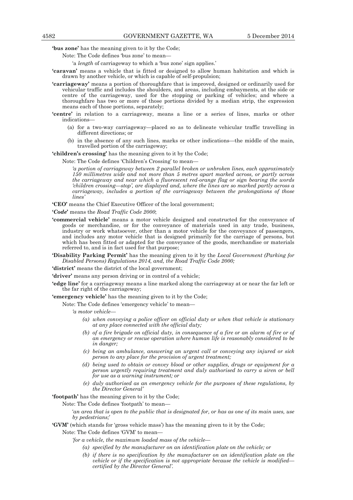**'bus zone'** has the meaning given to it by the Code;

Note: The Code defines 'bus zone' to mean—

- 'a *length* of carriageway to which a 'bus zone' sign applies.'
- **'caravan'** means a vehicle that is fitted or designed to allow human habitation and which is drawn by another vehicle, or which is capable of self-propulsion;
- **'carriageway'** means a portion of thoroughfare that is improved, designed or ordinarily used for vehicular traffic and includes the shoulders, and areas, including embayments, at the side or centre of the carriageway, used for the stopping or parking of vehicles; and where a thoroughfare has two or more of those portions divided by a median strip, the expression means each of those portions, separately;
- **'centre'** in relation to a carriageway, means a line or a series of lines, marks or other indications—
	- (a) for a two-way carriageway—placed so as to delineate vehicular traffic travelling in different directions; or
	- (b) in the absence of any such lines, marks or other indications—the middle of the main, travelled portion of the carriageway;

**'children's crossing'** has the meaning given to it by the Code;

Note: The Code defines 'Children's Crossing' to mean—

*'a portion of carriageway between 2 parallel broken or unbroken lines, each approximately 150 millimetres wide and not more than 5 metres apart marked across, or partly across the carriageway and near which a fluorescent red-orange flag or sign bearing the words 'children crossing—stop', are displayed and, where the lines are so marked partly across a carriageway, includes a portion of the carriageway between the prolongations of those lines'* 

**'CEO'** means the Chief Executive Officer of the local government;

**'***Code***'** means the *Road Traffic Code 2000*;

- **'commercial vehicle'** means a motor vehicle designed and constructed for the conveyance of goods or merchandise, or for the conveyance of materials used in any trade, business, industry or work whatsoever, other than a motor vehicle for the conveyance of passengers, and includes any motor vehicle that is designed primarily for the carriage of persons, but which has been fitted or adapted for the conveyance of the goods, merchandise or materials referred to, and is in fact used for that purpose;
- **'Disability Parking Permit'** has the meaning given to it by the *Local Government (Parking for Disabled Persons) Regulations 2014, and, the Road Traffic Code 2000;*

**'district'** means the district of the local government;

**'driver'** means any person driving or in control of a vehicle;

**'edge line'** for a carriageway means a line marked along the carriageway at or near the far left or the far right of the carriageway;

**'emergency vehicle'** has the meaning given to it by the Code;

Note: The Code defines 'emergency vehicle' to mean—

*'a motor vehicle—* 

- *(a) when conveying a police officer on official duty or when that vehicle is stationary at any place connected with the official duty;*
- *(b) of a fire brigade on official duty, in consequence of a fire or an alarm of fire or of an emergency or rescue operation where human life is reasonably considered to be in danger;*
- *(c) being an ambulance, answering an urgent call or conveying any injured or sick person to any place for the provision of urgent treatment;*
- *(d) being used to obtain or convey blood or other supplies, drugs or equipment for a person urgently requiring treatment and duly authorised to carry a siren or bell for use as a warning instrument; or*
- *(e) duly authorised as an emergency vehicle for the purposes of these regulations, by the Director General'*

**'footpath'** has the meaning given to it by the Code;

Note: The Code defines 'footpath' to mean—

'*an area that is open to the public that is designated for, or has as one of its main uses, use by pedestrians;*'

**'GVM'** (which stands for 'gross vehicle mass') has the meaning given to it by the Code;

Note: The Code defines 'GVM' to mean—

*'for a vehicle, the maximum loaded mass of the vehicle—* 

- *(a) specified by the manufacturer on an identification plate on the vehicle; or*
- *(b) if there is no specification by the manufacturer on an identification plate on the vehicle or if the specification is not appropriate because the vehicle is modified certified by the Director General'.*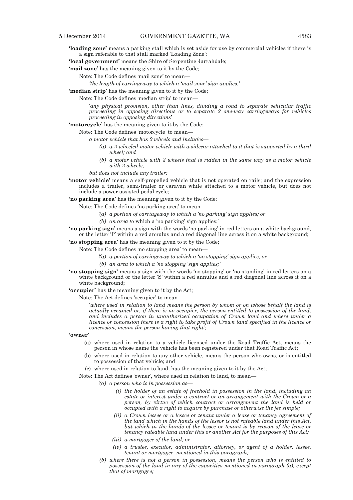**'loading zone'** means a parking stall which is set aside for use by commercial vehicles if there is a sign referable to that stall marked 'Loading Zone';

**'local government'** means the Shire of Serpentine Jarrahdale;

**'mail zone'** has the meaning given to it by the Code;

Note: The Code defines 'mail zone' to mean—

*'the length of carriageway to which a 'mail zone' sign applies.'* 

**'median strip'** has the meaning given to it by the Code;

Note: The Code defines 'median strip' to mean—

'*any physical provision, other than lines, dividing a road to separate vehicular traffic proceeding in opposing directions or to separate 2 one-way carriageways for vehicles proceeding in opposing directions*'

**'motorcycle'** has the meaning given to it by the Code;

Note: The Code defines 'motorcycle' to mean—

*a motor vehicle that has 2 wheels and includes—* 

- *(a) a 2-wheeled motor vehicle with a sidecar attached to it that is supported by a third wheel; and*
- *(b) a motor vehicle with 3 wheels that is ridden in the same way as a motor vehicle with 2 wheels,*

*but does not include any trailer;* 

**'motor vehicle'** means a self-propelled vehicle that is not operated on rails; and the expression includes a trailer, semi-trailer or caravan while attached to a motor vehicle, but does not include a power assisted pedal cycle;

**'no parking area'** has the meaning given to it by the Code;

- Note: The Code defines 'no parking area' to mean—
	- *'(a) a portion of carriageway to which a 'no parking' sign applies; or*
	- *(b) an area to* which a 'no parking' sign applies;'
- **'no parking sign'** means a sign with the words 'no parking' in red letters on a white background, or the letter 'P' within a red annulus and a red diagonal line across it on a white background;

**'no stopping area'** has the meaning given to it by the Code;

- Note: The Code defines 'no stopping area' to mean—
	- *'(a) a portion of carriageway to which a 'no stopping' sign applies; or*
	- *(b) an area to which a 'no stopping' sign applies;'*
- **'no stopping sign'** means a sign with the words 'no stopping' or 'no standing' in red letters on a white background or the letter 'S' within a red annulus and a red diagonal line across it on a white background;

**'occupier'** has the meaning given to it by the Act;

Note: The Act defines 'occupier' to mean—

'*where used in relation to land means the person by whom or on whose behalf the land is actually occupied or, if there is no occupier, the person entitled to possession of the land, and includes a person in unauthorized occupation of Crown land and where under a licence or concession there is a right to take profit of Crown land specified in the licence or concession, means the person having that right*';

#### **'owner'**

- (a) where used in relation to a vehicle licensed under the Road Traffic Act, means the person in whose name the vehicle has been registered under that Road Traffic Act;
- (b) where used in relation to any other vehicle, means the person who owns, or is entitled to possession of that vehicle; and
- (c) where used in relation to land, has the meaning given to it by the Act;

Note: The Act defines 'owner', where used in relation to land, to mean—

- *'(a) a person who is in possession as—* 
	- *(i) the holder of an estate of freehold in possession in the land, including an estate or interest under a contract or an arrangement with the Crown or a person, by virtue of which contract or arrangement the land is held or occupied with a right to acquire by purchase or otherwise the fee simple;*
	- *(ii) a Crown lessee or a lessee or tenant under a lease or tenancy agreement of the land which in the hands of the lessor is not rateable land under this Act, but which in the hands of the lessee or tenant is by reason of the lease or tenancy rateable land under this or another Act for the purposes of this Act;*
	- *(iii) a mortgagee of the land; or*
	- *(iv) a trustee, executor, administrator, attorney, or agent of a holder, lessee, tenant or mortgagee, mentioned in this paragraph;*
- *(b) where there is not a person in possession, means the person who is entitled to possession of the land in any of the capacities mentioned in paragraph (a), except that of mortgagee;*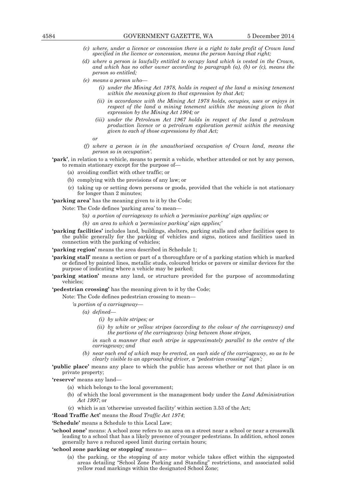- *(c) where, under a licence or concession there is a right to take profit of Crown land specified in the licence or concession, means the person having that right;*
- *(d) where a person is lawfully entitled to occupy land which is vested in the Crown, and which has no other owner according to paragraph (a), (b) or (c), means the person so entitled;*
- *(e) means a person who—* 
	- *(i) under the Mining Act 1978, holds in respect of the land a mining tenement within the meaning given to that expression by that Act;*
	- *(ii) in accordance with the Mining Act 1978 holds, occupies, uses or enjoys in respect of the land a mining tenement within the meaning given to that expression by the Mining Act 1904; or*
	- *(iii) under the Petroleum Act 1967 holds in respect of the land a petroleum production licence or a petroleum exploration permit within the meaning given to each of those expressions by that Act;*
- *or* 
	- *(f) where a person is in the unauthorised occupation of Crown land, means the person so in occupation'.*
	- **'park'**, in relation to a vehicle, means to permit a vehicle, whether attended or not by any person, to remain stationary except for the purpose of—
		- (a) avoiding conflict with other traffic; or
		- (b) complying with the provisions of any law; or
		- (c) taking up or setting down persons or goods, provided that the vehicle is not stationary for longer than 2 minutes;

**'parking area'** has the meaning given to it by the Code;

Note: The Code defines 'parking area' to mean—

- *'(a) a portion of carriageway to which a 'permissive parking' sign applies; or*
- *(b) an area to which a 'permissive parking' sign applies;'*
- **'parking facilities'** includes land, buildings, shelters, parking stalls and other facilities open to the public generally for the parking of vehicles and signs, notices and facilities used in connection with the parking of vehicles;

'parking region' means the area described in Schedule 1;

- **'parking stall'** means a section or part of a thoroughfare or of a parking station which is marked or defined by painted lines, metallic studs, coloured bricks or pavers or similar devices for the purpose of indicating where a vehicle may be parked;
- **'parking station'** means any land, or structure provided for the purpose of accommodating vehicles;
- **'pedestrian crossing'** has the meaning given to it by the Code;

Note: The Code defines pedestrian crossing to mean—

*'a portion of a carriageway—* 

- *(a) defined—* 
	- *(i) by white stripes; or*
	- *(ii) by white or yellow stripes (according to the colour of the carriageway) and the portions of the carriageway lying between those stripes,*

*in such a manner that each stripe is approximately parallel to the centre of the carriageway; and* 

*(b) near each end of which may be erected, on each side of the carriageway, so as to be clearly visible to an approaching driver, a "pedestrian crossing" sign';* 

**'public place'** means any place to which the public has access whether or not that place is on private property;

**'reserve'** means any land—

- (a) which belongs to the local government;
- (b) of which the local government is the management body under the *Land Administration Act 1997*; or
- (c) which is an 'otherwise unvested facility' within section 3.53 of the Act;

**'Road Traffic Act'** means the *Road Traffic Act 1974*;

**'Schedule'** means a Schedule to this Local Law;

**'school zone'** means: A school zone refers to an area on a street near a school or near a crosswalk leading to a school that has a likely presence of younger pedestrians. In addition, school zones generally have a reduced speed limit during certain hours;

**'school zone parking or stopping'** means—

 (a) the parking, or the stopping of any motor vehicle takes effect within the signposted areas detailing "School Zone Parking and Standing" restrictions, and associated solid yellow road markings within the designated School Zone;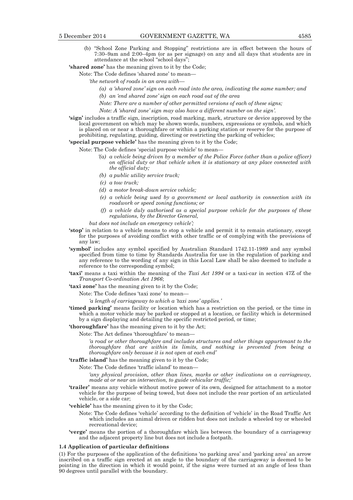(b) "School Zone Parking and Stopping" restrictions are in effect between the hours of 7:30–9am and 2:00–4pm (or as per signage) on any and all days that students are in attendance at the school "school days";

**'shared zone'** has the meaning given to it by the Code;

Note: The Code defines 'shared zone' to mean—

- *'the network of roads in an area with—* 
	- *(a) a 'shared zone' sign on each road into the area, indicating the same number; and*
	- *(b) an 'end shared zone' sign on each road out of the area*
	- *Note: There are a number of other permitted versions of each of these signs;*

*Note: A 'shared zone' sign may also have a different number on the sign'.* 

**'sign'** includes a traffic sign, inscription, road marking, mark, structure or device approved by the local government on which may be shown words, numbers, expressions or symbols, and which is placed on or near a thoroughfare or within a parking station or reserve for the purpose of prohibiting, regulating, guiding, directing or restricting the parking of vehicles;

**'special purpose vehicle'** has the meaning given to it by the Code;

Note: The Code defines 'special purpose vehicle' to mean—

- *'(a) a vehicle being driven by a member of the Police Force (other than a police officer) on official duty or that vehicle when it is stationary at any place connected with the official duty;*
- *(b) a public utility service truck;*
- *(c) a tow truck;*
- *(d) a motor break-down service vehicle;*
- *(e) a vehicle being used by a government or local authority in connection with its roadwork or speed zoning functions; or*
- *(f) a vehicle duly authorised as a special purpose vehicle for the purposes of these regulations, by the Director General,*

*but does not include an emergency vehicle';* 

- **'stop'** in relation to a vehicle means to stop a vehicle and permit it to remain stationary, except for the purposes of avoiding conflict with other traffic or of complying with the provisions of any law;
- **'symbol'** includes any symbol specified by Australian Standard 1742.11-1989 and any symbol specified from time to time by Standards Australia for use in the regulation of parking and any reference to the wording of any sign in this Local Law shall be also deemed to include a reference to the corresponding symbol;
- **'taxi'** means a taxi within the meaning of the *Taxi Act 1994* or a taxi-car in section 47Z of the *Transport Co-ordination Act 1966*;
- **'taxi zone'** has the meaning given to it by the Code;

Note: The Code defines 'taxi zone' to mean—

*'a length of carriageway to which a 'taxi zone' applies.'* 

- **'timed parking'** means facility or location which has a restriction on the period, or the time in which a motor vehicle may be parked or stopped at a location, or facility which is determined by a sign displaying and detailing the specific restricted period, or time;
- **'thoroughfare'** has the meaning given to it by the Act;

Note: The Act defines 'thoroughfare' to mean—

*'a road or other thoroughfare and includes structures and other things appurtenant to the thoroughfare that are within its limits, and nothing is prevented from being a thoroughfare only because it is not open at each end'* 

**'traffic island'** has the meaning given to it by the Code;

Note: The Code defines 'traffic island' to mean—

*'any physical provision, other than lines, marks or other indications on a carriageway, made at or near an intersection, to guide vehicular traffic;'* 

**'trailer'** means any vehicle without motive power of its own, designed for attachment to a motor vehicle for the purpose of being towed, but does not include the rear portion of an articulated vehicle, or a side car;

**'vehicle'** has the meaning given to it by the Code;

- Note: The Code defines 'vehicle' according to the definition of 'vehicle' in the Road Traffic Act which includes an animal driven or ridden but does not include a wheeled toy or wheeled recreational device;
- **'verge'** means the portion of a thoroughfare which lies between the boundary of a carriageway and the adjacent property line but does not include a footpath.

#### **1.4 Application of particular definitions**

(1) For the purposes of the application of the definitions 'no parking area' and 'parking area' an arrow inscribed on a traffic sign erected at an angle to the boundary of the carriageway is deemed to be pointing in the direction in which it would point, if the signs were turned at an angle of less than 90 degrees until parallel with the boundary.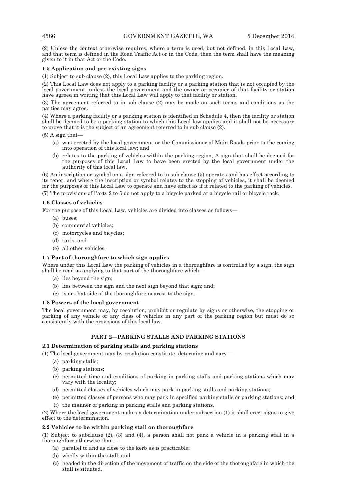(2) Unless the context otherwise requires, where a term is used, but not defined, in this Local Law, and that term is defined in the Road Traffic Act or in the Code, then the term shall have the meaning given to it in that Act or the Code.

## **1.5 Application and pre-existing signs**

(1) Subject to sub clause (2), this Local Law applies to the parking region.

(2) This Local Law does not apply to a parking facility or a parking station that is not occupied by the local government, unless the local government and the owner or occupier of that facility or station have agreed in writing that this Local Law will apply to that facility or station.

(3) The agreement referred to in sub clause (2) may be made on such terms and conditions as the parties may agree.

(4) Where a parking facility or a parking station is identified in Schedule 4, then the facility or station shall be deemed to be a parking station to which this Local law applies and it shall not be necessary to prove that it is the subject of an agreement referred to in sub clause (2).

 $(5)$  A sign that-

- (a) was erected by the local government or the Commissioner of Main Roads prior to the coming into operation of this local law; and
- (b) relates to the parking of vehicles within the parking region, A sign that shall be deemed for the purposes of this Local Law to have been erected by the local government under the authority of this local law.

(6) An inscription or symbol on a sign referred to in sub clause (5) operates and has effect according to its tenor, and where the inscription or symbol relates to the stopping of vehicles, it shall be deemed for the purposes of this Local Law to operate and have effect as if it related to the parking of vehicles.

(7) The provisions of Parts 2 to 5 do not apply to a bicycle parked at a bicycle rail or bicycle rack.

## **1.6 Classes of vehicles**

For the purpose of this Local Law, vehicles are divided into classes as follows—

- (a) buses;
- (b) commercial vehicles;
- (c) motorcycles and bicycles;
- (d) taxis; and
- (e) all other vehicles.

## **1.7 Part of thoroughfare to which sign applies**

Where under this Local Law the parking of vehicles in a thoroughfare is controlled by a sign, the sign shall be read as applying to that part of the thoroughfare which—

- (a) lies beyond the sign;
- (b) lies between the sign and the next sign beyond that sign; and;
- (c) is on that side of the thoroughfare nearest to the sign.

## **1.8 Powers of the local government**

The local government may, by resolution, prohibit or regulate by signs or otherwise, the stopping or parking of any vehicle or any class of vehicles in any part of the parking region but must do so consistently with the provisions of this local law.

## **PART 2—PARKING STALLS AND PARKING STATIONS**

## **2.1 Determination of parking stalls and parking stations**

(1) The local government may by resolution constitute, determine and vary—

- (a) parking stalls;
- (b) parking stations;
- (c) permitted time and conditions of parking in parking stalls and parking stations which may vary with the locality;
- (d) permitted classes of vehicles which may park in parking stalls and parking stations;
- (e) permitted classes of persons who may park in specified parking stalls or parking stations; and
- (f) the manner of parking in parking stalls and parking stations.

(2) Where the local government makes a determination under subsection (1) it shall erect signs to give effect to the determination.

## **2.2 Vehicles to be within parking stall on thoroughfare**

(1) Subject to subclause (2), (3) and (4), a person shall not park a vehicle in a parking stall in a thoroughfare otherwise than—

- (a) parallel to and as close to the kerb as is practicable;
- (b) wholly within the stall; and
- (c) headed in the direction of the movement of traffic on the side of the thoroughfare in which the stall is situated.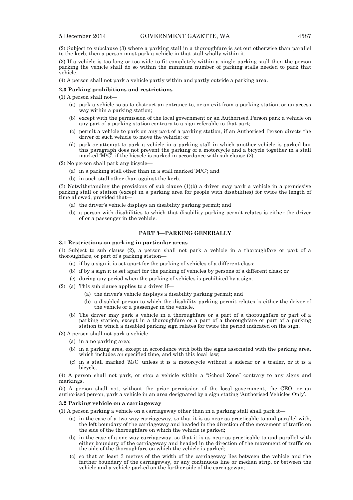(2) Subject to subclause (3) where a parking stall in a thoroughfare is set out otherwise than parallel to the kerb, then a person must park a vehicle in that stall wholly within it.

(3) If a vehicle is too long or too wide to fit completely within a single parking stall then the person parking the vehicle shall do so within the minimum number of parking stalls needed to park that vehicle.

(4) A person shall not park a vehicle partly within and partly outside a parking area.

#### **2.3 Parking prohibitions and restrictions**

(1) A person shall not—

- (a) park a vehicle so as to obstruct an entrance to, or an exit from a parking station, or an access way within a parking station;
- (b) except with the permission of the local government or an Authorised Person park a vehicle on any part of a parking station contrary to a sign referable to that part;
- (c) permit a vehicle to park on any part of a parking station, if an Authorised Person directs the driver of such vehicle to move the vehicle; or
- (d) park or attempt to park a vehicle in a parking stall in which another vehicle is parked but this paragraph does not prevent the parking of a motorcycle and a bicycle together in a stall marked  $\widetilde{M}/\widetilde{C}$ , if the bicycle is parked in accordance with sub clause (2).

(2) No person shall park any bicycle—

- (a) in a parking stall other than in a stall marked 'M/C'; and
- (b) in such stall other than against the kerb.

(3) Notwithstanding the provisions of sub clause (1)(b) a driver may park a vehicle in a permissive parking stall or station (except in a parking area for people with disabilities) for twice the length of time allowed, provided that—

- (a) the driver's vehicle displays an disability parking permit; and
- (b) a person with disabilities to which that disability parking permit relates is either the driver of or a passenger in the vehicle.

#### **PART 3—PARKING GENERALLY**

#### **3.1 Restrictions on parking in particular areas**

(1) Subject to sub clause (2), a person shall not park a vehicle in a thoroughfare or part of a thoroughfare, or part of a parking station—

- (a) if by a sign it is set apart for the parking of vehicles of a different class;
- (b) if by a sign it is set apart for the parking of vehicles by persons of a different class; or
- (c) during any period when the parking of vehicles is prohibited by a sign.
- (2) (a) This sub clause applies to a driver if—
	- (a) the driver's vehicle displays a disability parking permit; and
	- (b) a disabled person to which the disability parking permit relates is either the driver of the vehicle or a passenger in the vehicle.
	- (b) The driver may park a vehicle in a thoroughfare or a part of a thoroughfare or part of a parking station, except in a thoroughfare or a part of a thoroughfare or part of a parking station to which a disabled parking sign relates for twice the period indicated on the sign.

(3) A person shall not park a vehicle—

- (a) in a no parking area;
- (b) in a parking area, except in accordance with both the signs associated with the parking area, which includes an specified time, and with this local law;
- (c) in a stall marked 'M/C' unless it is a motorcycle without a sidecar or a trailer, or it is a bicycle.

(4) A person shall not park, or stop a vehicle within a "School Zone" contrary to any signs and markings.

(5) A person shall not, without the prior permission of the local government, the CEO, or an authorised person, park a vehicle in an area designated by a sign stating 'Authorised Vehicles Only'.

## **3.2 Parking vehicle on a carriageway**

(1) A person parking a vehicle on a carriageway other than in a parking stall shall park it—

- (a) in the case of a two-way carriageway, so that it is as near as practicable to and parallel with, the left boundary of the carriageway and headed in the direction of the movement of traffic on the side of the thoroughfare on which the vehicle is parked;
- (b) in the case of a one-way carriageway, so that it is as near as practicable to and parallel with either boundary of the carriageway and headed in the direction of the movement of traffic on the side of the thoroughfare on which the vehicle is parked;
- (c) so that at least 3 metres of the width of the carriageway lies between the vehicle and the farther boundary of the carriageway, or any continuous line or median strip, or between the vehicle and a vehicle parked on the farther side of the carriageway;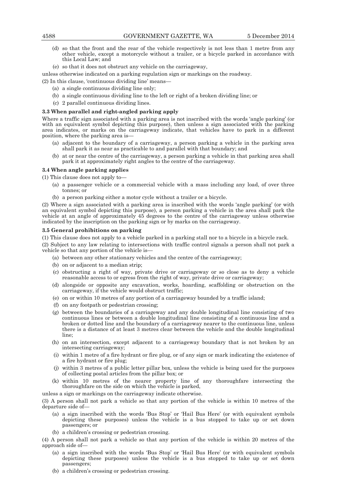- (d) so that the front and the rear of the vehicle respectively is not less than 1 metre from any other vehicle, except a motorcycle without a trailer, or a bicycle parked in accordance with this Local Law; and
- (e) so that it does not obstruct any vehicle on the carriageway,

unless otherwise indicated on a parking regulation sign or markings on the roadway.

(2) In this clause, 'continuous dividing line' means—

- (a) a single continuous dividing line only;
- (b) a single continuous dividing line to the left or right of a broken dividing line; or
- (c) 2 parallel continuous dividing lines.

#### **3.3 When parallel and right-angled parking apply**

Where a traffic sign associated with a parking area is not inscribed with the words 'angle parking' (or with an equivalent symbol depicting this purpose), then unless a sign associated with the parking area indicates, or marks on the carriageway indicate, that vehicles have to park in a different position, where the parking area is—

- (a) adjacent to the boundary of a carriageway, a person parking a vehicle in the parking area shall park it as near as practicable to and parallel with that boundary; and
- (b) at or near the centre of the carriageway, a person parking a vehicle in that parking area shall park it at approximately right angles to the centre of the carriageway.

## **3.4 When angle parking applies**

(1) This clause does not apply to—

- (a) a passenger vehicle or a commercial vehicle with a mass including any load, of over three tonnes; or
- (b) a person parking either a motor cycle without a trailer or a bicycle.

(2) Where a sign associated with a parking area is inscribed with the words 'angle parking' (or with an equivalent symbol depicting this purpose), a person parking a vehicle in the area shall park the vehicle at an angle of approximately 45 degrees to the centre of the carriageway unless otherwise indicated by the inscription on the parking sign or by marks on the carriageway.

#### **3.5 General prohibitions on parking**

(1) This clause does not apply to a vehicle parked in a parking stall nor to a bicycle in a bicycle rack.

(2) Subject to any law relating to intersections with traffic control signals a person shall not park a vehicle so that any portion of the vehicle is—

- (a) between any other stationary vehicles and the centre of the carriageway;
- (b) on or adjacent to a median strip;
- (c) obstructing a right of way, private drive or carriageway or so close as to deny a vehicle reasonable access to or egress from the right of way, private drive or carriageway;
- (d) alongside or opposite any excavation, works, hoarding, scaffolding or obstruction on the carriageway, if the vehicle would obstruct traffic;
- (e) on or within 10 metres of any portion of a carriageway bounded by a traffic island;
- (f) on any footpath or pedestrian crossing;
- (g) between the boundaries of a carriageway and any double longitudinal line consisting of two continuous lines or between a double longitudinal line consisting of a continuous line and a broken or dotted line and the boundary of a carriageway nearer to the continuous line, unless there is a distance of at least 3 metres clear between the vehicle and the double longitudinal line;
- (h) on an intersection, except adjacent to a carriageway boundary that is not broken by an intersecting carriageway;
- (i) within 1 metre of a fire hydrant or fire plug, or of any sign or mark indicating the existence of a fire hydrant or fire plug;
- (j) within 3 metres of a public letter pillar box, unless the vehicle is being used for the purposes of collecting postal articles from the pillar box; or
- (k) within 10 metres of the nearer property line of any thoroughfare intersecting the thoroughfare on the side on which the vehicle is parked,

unless a sign or markings on the carriageway indicate otherwise.

(3) A person shall not park a vehicle so that any portion of the vehicle is within 10 metres of the departure side of—

- (a) a sign inscribed with the words 'Bus Stop' or 'Hail Bus Here' (or with equivalent symbols depicting these purposes) unless the vehicle is a bus stopped to take up or set down passengers; or
- (b) a children's crossing or pedestrian crossing.

(4) A person shall not park a vehicle so that any portion of the vehicle is within 20 metres of the approach side of—

- (a) a sign inscribed with the words 'Bus Stop' or 'Hail Bus Here' (or with equivalent symbols depicting these purposes) unless the vehicle is a bus stopped to take up or set down passengers;
- (b) a children's crossing or pedestrian crossing.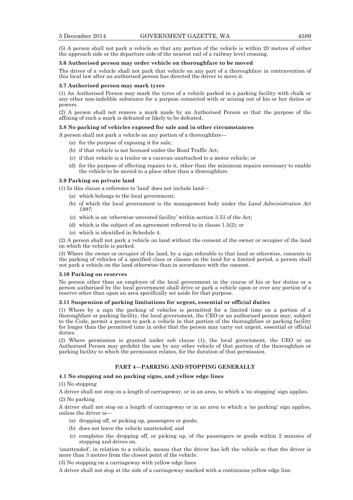(5) A person shall not park a vehicle so that any portion of the vehicle is within 20 metres of either the approach side or the departure side of the nearest rail of a railway level crossing.

#### **3.6 Authorised person may order vehicle on thoroughfare to be moved**

The driver of a vehicle shall not park that vehicle on any part of a thoroughfare in contravention of this local law after an authorised person has directed the driver to move it.

#### **3.7 Authorised person may mark tyres**

(1) An Authorised Person may mark the tyres of a vehicle parked in a parking facility with chalk or any other non-indelible substance for a purpose connected with or arising out of his or her duties or powers.

(2) A person shall not remove a mark made by an Authorised Person so that the purpose of the affixing of such a mark is defeated or likely to be defeated.

#### **3.8 No parking of vehicles exposed for sale and in other circumstances**

A person shall not park a vehicle on any portion of a thoroughfare—

- (a) for the purpose of exposing it for sale;
- (b) if that vehicle is not licensed under the Road Traffic Act;
- (c) if that vehicle is a trailer or a caravan unattached to a motor vehicle; or
- (d) for the purpose of effecting repairs to it, other than the minimum repairs necessary to enable the vehicle to be moved to a place other than a thoroughfare.

## **3.9 Parking on private land**

(1) In this clause a reference to 'land' does not include land—

- (a) which belongs to the local government;
- (b) of which the local government is the management body under the *Land Administration Act 1997*;
- (c) which is an 'otherwise unvested facility' within section 3.53 of the Act;
- (d) which is the subject of an agreement referred to in clause 1.5(2); or
- (e) which is identified in Schedule 4.

(2) A person shall not park a vehicle on land without the consent of the owner or occupier of the land on which the vehicle is parked.

(3) Where the owner or occupier of the land, by a sign referable to that land or otherwise, consents to the parking of vehicles of a specified class or classes on the land for a limited period, a person shall not park a vehicle on the land otherwise than in accordance with the consent.

#### **3.10 Parking on reserves**

No person other than an employee of the local government in the course of his or her duties or a person authorised by the local government shall drive or park a vehicle upon or over any portion of a reserve other than upon an area specifically set aside for that purpose.

## **3.11 Suspension of parking limitations for urgent, essential or official duties**

(1) Where by a sign the parking of vehicles is permitted for a limited time on a portion of a thoroughfare or parking facility, the local government, the CEO or an authorised person may, subject to the Code, permit a person to park a vehicle in that portion of the thoroughfare or parking facility for longer than the permitted time in order that the person may carry out urgent, essential or official duties.

(2) Where permission is granted under sub clause (1), the local government, the CEO or an Authorised Person may prohibit the use by any other vehicle of that portion of the thoroughfare or parking facility to which the permission relates, for the duration of that permission.

## **PART 4—PARKING AND STOPPING GENERALLY**

#### **4.1 No stopping and no parking signs, and yellow edge lines**

#### (1) No stopping

A driver shall not stop on a length of carriageway, or in an area, to which a 'no stopping' sign applies. (2) No parking

A driver shall not stop on a length of carriageway or in an area to which a 'no parking' sign applies, unless the driver is—

- (a) dropping off, or picking up, passengers or goods;
- (b) does not leave the vehicle unattended; and
- (c) completes the dropping off, or picking up, of the passengers or goods within 2 minutes of stopping and drives on.

'unattended', in relation to a vehicle, means that the driver has left the vehicle so that the driver is more than 3 metres from the closest point of the vehicle.

(3) No stopping on a carriageway with yellow edge lines

A driver shall not stop at the side of a carriageway marked with a continuous yellow edge line.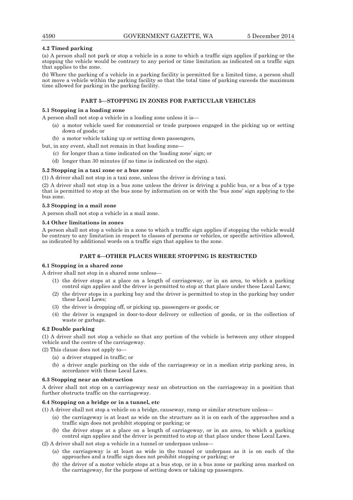## **4.2 Timed parking**

(a) A person shall not park or stop a vehicle in a zone to which a traffic sign applies if parking or the stopping the vehicle would be contrary to any period or time limitation as indicated on a traffic sign that applies to the zone.

(b) Where the parking of a vehicle in a parking facility is permitted for a limited time, a person shall not move a vehicle within the parking facility so that the total time of parking exceeds the maximum time allowed for parking in the parking facility.

## **PART 5—STOPPING IN ZONES FOR PARTICULAR VEHICLES**

#### **5.1 Stopping in a loading zone**

A person shall not stop a vehicle in a loading zone unless it is—

- (a) a motor vehicle used for commercial or trade purposes engaged in the picking up or setting down of goods; or
- (b) a motor vehicle taking up or setting down passengers,

but, in any event, shall not remain in that loading zone—

- (c) for longer than a time indicated on the 'loading zone' sign; or
- (d) longer than 30 minutes (if no time is indicated on the sign).

#### **5.2 Stopping in a taxi zone or a bus zone**

(1) A driver shall not stop in a taxi zone, unless the driver is driving a taxi.

(2) A driver shall not stop in a bus zone unless the driver is driving a public bus, or a bus of a type that is permitted to stop at the bus zone by information on or with the 'bus zone' sign applying to the bus zone.

#### **5.3 Stopping in a mail zone**

A person shall not stop a vehicle in a mail zone.

#### **5.4 Other limitations in zones**

A person shall not stop a vehicle in a zone to which a traffic sign applies if stopping the vehicle would be contrary to any limitation in respect to classes of persons or vehicles, or specific activities allowed, as indicated by additional words on a traffic sign that applies to the zone.

## **PART 6—OTHER PLACES WHERE STOPPING IS RESTRICTED**

#### **6.1 Stopping in a shared zone**

A driver shall not stop in a shared zone unless—

- (1) the driver stops at a place on a length of carriageway, or in an area, to which a parking control sign applies and the driver is permitted to stop at that place under these Local Laws;
- (2) the driver stops in a parking bay and the driver is permitted to stop in the parking bay under these Local Laws;
- (3) the driver is dropping off, or picking up, passengers or goods; or
- (4) the driver is engaged in door-to-door delivery or collection of goods, or in the collection of waste or garbage.

#### **6.2 Double parking**

(1) A driver shall not stop a vehicle so that any portion of the vehicle is between any other stopped vehicle and the centre of the carriageway.

(2) This clause does not apply to—

- (a) a driver stopped in traffic; or
- (b) a driver angle parking on the side of the carriageway or in a median strip parking area, in accordance with these Local Laws.

#### **6.3 Stopping near an obstruction**

A driver shall not stop on a carriageway near an obstruction on the carriageway in a position that further obstructs traffic on the carriageway.

#### **6.4 Stopping on a bridge or in a tunnel, etc**

(1) A driver shall not stop a vehicle on a bridge, causeway, ramp or similar structure unless—

- (a) the carriageway is at least as wide on the structure as it is on each of the approaches and a traffic sign does not prohibit stopping or parking; or
- (b) the driver stops at a place on a length of carriageway, or in an area, to which a parking control sign applies and the driver is permitted to stop at that place under these Local Laws.

 $(2)$  A driver shall not stop a vehicle in a tunnel or underpass unless—

- (a) the carriageway is at least as wide in the tunnel or underpass as it is on each of the approaches and a traffic sign does not prohibit stopping or parking; or
- (b) the driver of a motor vehicle stops at a bus stop, or in a bus zone or parking area marked on the carriageway, for the purpose of setting down or taking up passengers.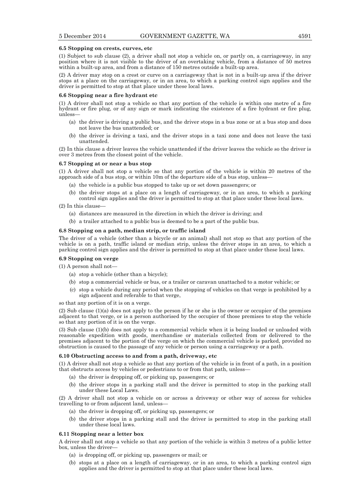#### **6.5 Stopping on crests, curves, etc**

(1) Subject to sub clause (2), a driver shall not stop a vehicle on, or partly on, a carriageway, in any position where it is not visible to the driver of an overtaking vehicle, from a distance of 50 metres within a built-up area, and from a distance of 150 metres outside a built-up area.

(2) A driver may stop on a crest or curve on a carriageway that is not in a built-up area if the driver stops at a place on the carriageway, or in an area, to which a parking control sign applies and the driver is permitted to stop at that place under these local laws.

#### **6.6 Stopping near a fire hydrant etc**

(1) A driver shall not stop a vehicle so that any portion of the vehicle is within one metre of a fire hydrant or fire plug, or of any sign or mark indicating the existence of a fire hydrant or fire plug, unless—

- (a) the driver is driving a public bus, and the driver stops in a bus zone or at a bus stop and does not leave the bus unattended; or
- (b) the driver is driving a taxi, and the driver stops in a taxi zone and does not leave the taxi unattended.

(2) In this clause a driver leaves the vehicle unattended if the driver leaves the vehicle so the driver is over 3 metres from the closest point of the vehicle.

#### **6.7 Stopping at or near a bus stop**

(1) A driver shall not stop a vehicle so that any portion of the vehicle is within 20 metres of the approach side of a bus stop, or within 10m of the departure side of a bus stop, unless—

- (a) the vehicle is a public bus stopped to take up or set down passengers; or
- (b) the driver stops at a place on a length of carriageway, or in an area, to which a parking control sign applies and the driver is permitted to stop at that place under these local laws.
- (2) In this clause—
	- (a) distances are measured in the direction in which the driver is driving; and
	- (b) a trailer attached to a public bus is deemed to be a part of the public bus.

#### **6.8 Stopping on a path, median strip, or traffic island**

The driver of a vehicle (other than a bicycle or an animal) shall not stop so that any portion of the vehicle is on a path, traffic island or median strip, unless the driver stops in an area, to which a parking control sign applies and the driver is permitted to stop at that place under these local laws.

#### **6.9 Stopping on verge**

(1) A person shall not—

- (a) stop a vehicle (other than a bicycle);
- (b) stop a commercial vehicle or bus, or a trailer or caravan unattached to a motor vehicle; or
- (c) stop a vehicle during any period when the stopping of vehicles on that verge is prohibited by a sign adjacent and referable to that verge,

so that any portion of it is on a verge.

(2) Sub clause (1)(a) does not apply to the person if he or she is the owner or occupier of the premises adjacent to that verge, or is a person authorised by the occupier of those premises to stop the vehicle so that any portion of it is on the verge.

(3) Sub clause (1)(b) does not apply to a commercial vehicle when it is being loaded or unloaded with reasonable expedition with goods, merchandise or materials collected from or delivered to the premises adjacent to the portion of the verge on which the commercial vehicle is parked, provided no obstruction is caused to the passage of any vehicle or person using a carriageway or a path.

#### **6.10 Obstructing access to and from a path, driveway, etc**

(1) A driver shall not stop a vehicle so that any portion of the vehicle is in front of a path, in a position that obstructs access by vehicles or pedestrians to or from that path, unless—

- (a) the driver is dropping off, or picking up, passengers; or
- (b) the driver stops in a parking stall and the driver is permitted to stop in the parking stall under these Local Laws.

(2) A driver shall not stop a vehicle on or across a driveway or other way of access for vehicles travelling to or from adjacent land, unless—

- (a) the driver is dropping off, or picking up, passengers; or
- (b) the driver stops in a parking stall and the driver is permitted to stop in the parking stall under these local laws.

#### **6.11 Stopping near a letter box**

A driver shall not stop a vehicle so that any portion of the vehicle is within 3 metres of a public letter box, unless the driver—

- (a) is dropping off, or picking up, passengers or mail; or
- (b) stops at a place on a length of carriageway, or in an area, to which a parking control sign applies and the driver is permitted to stop at that place under these local laws.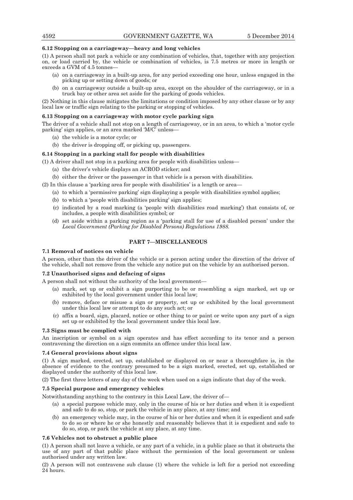#### **6.12 Stopping on a carriageway—heavy and long vehicles**

(1) A person shall not park a vehicle or any combination of vehicles, that, together with any projection on, or load carried by, the vehicle or combination of vehicles, is 7.5 metres or more in length or exceeds a GVM of 4.5 tonnes—

- (a) on a carriageway in a built-up area, for any period exceeding one hour, unless engaged in the picking up or setting down of goods; or
- (b) on a carriageway outside a built-up area, except on the shoulder of the carriageway, or in a truck bay or other area set aside for the parking of goods vehicles.

(2) Nothing in this clause mitigates the limitations or condition imposed by any other clause or by any local law or traffic sign relating to the parking or stopping of vehicles.

#### **6.13 Stopping on a carriageway with motor cycle parking sign**

The driver of a vehicle shall not stop on a length of carriageway, or in an area, to which a 'motor cycle parking' sign applies, or an area marked 'M/C' unless—

- (a) the vehicle is a motor cycle; or
- (b) the driver is dropping off, or picking up, passengers.

## **6.14 Stopping in a parking stall for people with disabilities**

(1) A driver shall not stop in a parking area for people with disabilities unless—

(a) the driver's vehicle displays an ACROD sticker; and

(b) either the driver or the passenger in that vehicle is a person with disabilities.

- (2) In this clause a 'parking area for people with disabilities' is a length or area—
	- (a) to which a 'permissive parking' sign displaying a people with disabilities symbol applies;
	- (b) to which a 'people with disabilities parking' sign applies;
	- (c) indicated by a road marking (a 'people with disabilities road marking') that consists of, or includes, a people with disabilities symbol; or
	- (d) set aside within a parking region as a 'parking stall for use of a disabled person' under the *Local Government (Parking for Disabled Persons) Regulations 1988.*

## **PART 7—MISCELLANEOUS**

#### **7.1 Removal of notices on vehicle**

A person, other than the driver of the vehicle or a person acting under the direction of the driver of the vehicle, shall not remove from the vehicle any notice put on the vehicle by an authorised person.

## **7.2 Unauthorised signs and defacing of signs**

A person shall not without the authority of the local government—

- (a) mark, set up or exhibit a sign purporting to be or resembling a sign marked, set up or exhibited by the local government under this local law;
- (b) remove, deface or misuse a sign or property, set up or exhibited by the local government under this local law or attempt to do any such act; or
- (c) affix a board, sign, placard, notice or other thing to or paint or write upon any part of a sign set up or exhibited by the local government under this local law.

#### **7.3 Signs must be complied with**

An inscription or symbol on a sign operates and has effect according to its tenor and a person contravening the direction on a sign commits an offence under this local law.

#### **7.4 General provisions about signs**

(1) A sign marked, erected, set up, established or displayed on or near a thoroughfare is, in the absence of evidence to the contrary presumed to be a sign marked, erected, set up, established or displayed under the authority of this local law.

(2) The first three letters of any day of the week when used on a sign indicate that day of the week.

## **7.5 Special purpose and emergency vehicles**

Notwithstanding anything to the contrary in this Local Law, the driver of—

- (a) a special purpose vehicle may, only in the course of his or her duties and when it is expedient and safe to do so, stop, or park the vehicle in any place, at any time; and
- (b) an emergency vehicle may, in the course of his or her duties and when it is expedient and safe to do so or where he or she honestly and reasonably believes that it is expedient and safe to do so, stop, or park the vehicle at any place, at any time.

#### **7.6 Vehicles not to obstruct a public place**

(1) A person shall not leave a vehicle, or any part of a vehicle, in a public place so that it obstructs the use of any part of that public place without the permission of the local government or unless authorised under any written law.

(2) A person will not contravene sub clause (1) where the vehicle is left for a period not exceeding 24 hours.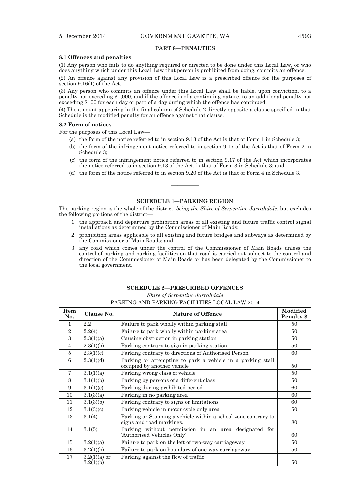## **PART 8—PENALTIES**

#### **8.1 Offences and penalties**

(1) Any person who fails to do anything required or directed to be done under this Local Law, or who does anything which under this Local Law that person is prohibited from doing, commits an offence.

(2) An offence against any provision of this Local Law is a prescribed offence for the purposes of section 9.16(1) of the Act.

(3) Any person who commits an offence under this Local Law shall be liable, upon conviction, to a penalty not exceeding \$1,000, and if the offence is of a continuing nature, to an additional penalty not exceeding \$100 for each day or part of a day during which the offence has continued.

(4) The amount appearing in the final column of Schedule 2 directly opposite a clause specified in that Schedule is the modified penalty for an offence against that clause.

## **8.2 Form of notices**

For the purposes of this Local Law—

- (a) the form of the notice referred to in section 9.13 of the Act is that of Form 1 in Schedule 3;
- (b) the form of the infringement notice referred to in section 9.17 of the Act is that of Form 2 in Schedule 3;
- (c) the form of the infringement notice referred to in section 9.17 of the Act which incorporates the notice referred to in section 9.13 of the Act, is that of Form 3 in Schedule 3; and
- (d) the form of the notice referred to in section 9.20 of the Act is that of Form 4 in Schedule 3.

————

## **SCHEDULE 1—PARKING REGION**

The parking region is the whole of the district, *being the Shire of Serpentine Jarrahdale*, but excludes the following portions of the district—

- 1. the approach and departure prohibition areas of all existing and future traffic control signal installations as determined by the Commissioner of Main Roads;
- 2. prohibition areas applicable to all existing and future bridges and subways as determined by the Commissioner of Main Roads; and
- 3. any road which comes under the control of the Commissioner of Main Roads unless the control of parking and parking facilities on that road is carried out subject to the control and direction of the Commissioner of Main Roads or has been delegated by the Commissioner to the local government.

#### **SCHEDULE 2—PRESCRIBED OFFENCES**

————

*Shire of Serpentine Jarrahdale* 

## PARKING AND PARKING FACILITIES LOCAL LAW 2014

| <b>Item</b><br>No. | Clause No.     | <b>Nature of Offence</b>                                                                   | Modified<br>Penalty \$ |
|--------------------|----------------|--------------------------------------------------------------------------------------------|------------------------|
| 1                  | $2.2\,$        | Failure to park wholly within parking stall                                                | 50                     |
| $\mathbf{2}$       | 2.2(4)         | Failure to park wholly within parking area                                                 | 50                     |
| 3                  | 2.3(1)(a)      | Causing obstruction in parking station                                                     | 50                     |
| $\overline{4}$     | 2.3(1)(b)      | Parking contrary to sign in parking station                                                | 50                     |
| 5                  | 2.3(1)(c)      | Parking contrary to directions of Authorised Person                                        | 60                     |
| 6                  | 2.3(1)(d)      | Parking or attempting to park a vehicle in a parking stall<br>occupied by another vehicle  | 50                     |
| $\overline{7}$     | 3.1(1)(a)      | Parking wrong class of vehicle                                                             | 50                     |
| 8                  | 3.1(1)(b)      | Parking by persons of a different class                                                    | 50                     |
| 9                  | 3.1(1)(c)      | Parking during prohibited period                                                           | 60                     |
| 10                 | 3.1(3)(a)      | Parking in no parking area                                                                 | 60                     |
| 11                 | 3.1(3)(b)      | Parking contrary to signs or limitations                                                   | 60                     |
| 12                 | 3.1(3)(c)      | Parking vehicle in motor cycle only area                                                   | 50                     |
| 13                 | 3.1(4)         | Parking or Stopping a vehicle within a school zone contrary to<br>signs and road markings. | 80                     |
| 14                 | 3.1(5)         | Parking without permission in an area designated for<br>'Authorised Vehicles Only'         | 60                     |
| 15                 | 3.2(1)(a)      | Failure to park on the left of two-way carriageway                                         | 50                     |
| 16                 | 3.2(1)(b)      | Failure to park on boundary of one-way carriageway                                         | 50                     |
| 17                 | $3.2(1)(a)$ or | Parking against the flow of traffic                                                        |                        |
|                    | 3.2(1)(b)      |                                                                                            | 50                     |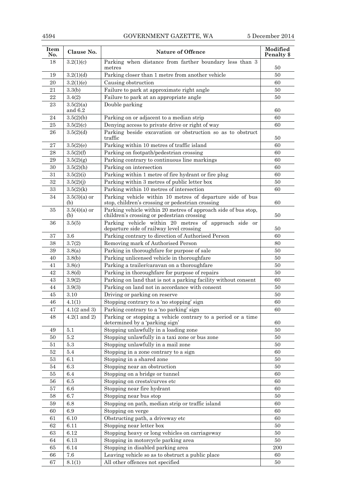# 4594 GOVERNMENT GAZETTE, WA 5 December 2014

| Item<br>No. | Clause No.              | <b>Nature of Offence</b>                                                                                      | Modified<br>Penalty \$ |
|-------------|-------------------------|---------------------------------------------------------------------------------------------------------------|------------------------|
| 18          | 3.2(1)(c)               | Parking when distance from farther boundary less than 3<br>metres                                             | 50                     |
| 19          | 3.2(1)(d)               | Parking closer than 1 metre from another vehicle                                                              | 50                     |
| 20          | 3.2(1)(e)               | Causing obstruction                                                                                           | 60                     |
| 21          | 3.3(b)                  | Failure to park at approximate right angle                                                                    | 50                     |
| 22          | 3.4(2)                  | Failure to park at an appropriate angle                                                                       | 50                     |
| 23          | 3.5(2)(a)<br>and $6.2$  | Double parking                                                                                                | 60                     |
| 24          | 3.5(2)(b)               | Parking on or adjacent to a median strip                                                                      | 60                     |
| 25          | 3.5(2)(c)               | Denying access to private drive or right of way                                                               | 60                     |
| 26          | 3.5(2)(d)               | Parking beside excavation or obstruction so as to obstruct<br>traffic                                         | 50                     |
| 27          | 3.5(2)(e)               | Parking within 10 metres of traffic island                                                                    | 60                     |
| 28          | 3.5(2)(f)               | Parking on footpath/pedestrian crossing                                                                       | 60                     |
| 29          | 3.5(2)(g)               | Parking contrary to continuous line markings                                                                  | 60                     |
| 30          | 3.5(2)(h)               | Parking on intersection                                                                                       | 60                     |
| 31          | 3.5(2)(i)               | Parking within 1 metre of fire hydrant or fire plug                                                           | 60                     |
| 32          | 3.5(2)(j)               | Parking within 3 metres of public letter box                                                                  | 50                     |
| 33          | 3.5(2)(k)               | Parking within 10 metres of intersection                                                                      | 60                     |
| 34          | $3.5(3)(a)$ or<br>(b)   | Parking vehicle within 10 metres of departure side of bus<br>stop, children's crossing or pedestrian crossing | 60                     |
| 35          | $3.5(4)(a)$ or<br>(b)   | Parking vehicle within 20 metres of approach side of bus stop,<br>children's crossing or pedestrian crossing  | 50                     |
| 36          | 3.5(5)                  | Parking vehicle within 20 metres of approach side or<br>departure side of railway level crossing              | 50                     |
| 37          | 3.6                     | Parking contrary to direction of Authorised Person                                                            | 60                     |
| 38          | 3.7(2)                  | Removing mark of Authorised Person                                                                            | 80                     |
| 39          | 3.8(a)                  | Parking in thoroughfare for purpose of sale                                                                   | 50                     |
| 40          | 3.8(b)                  | Parking unlicensed vehicle in thoroughfare                                                                    | 50                     |
| 41          | 3.8 <sub>(c)</sub>      | Parking a trailer/caravan on a thoroughfare                                                                   | 50                     |
| 42          | 3.8 <sub>d</sub>        | Parking in thoroughfare for purpose of repairs                                                                | 50                     |
| 43          | 3.9(2)                  | Parking on land that is not a parking facility without consent                                                | 60                     |
| 44          | 3.9(3)                  | Parking on land not in accordance with consent                                                                | 50                     |
| 45          | 3.10                    | Driving or parking on reserve                                                                                 | 50                     |
| 46          | 4.1(1)                  | Stopping contrary to a 'no stopping' sign                                                                     | 60                     |
| $\rm 47$    | $4.1(2 \text{ and } 3)$ | Parking contrary to a 'no parking' sign                                                                       | $60\,$                 |
| 48          | $4.2(1 \text{ and } 2)$ | Parking or stopping a vehicle contrary to a period or a time<br>determined by a 'parking sign'                | 60                     |
| 49          | 5.1                     | Stopping unlawfully in a loading zone                                                                         | 50                     |
| 50          | $5.2\,$                 | Stopping unlawfully in a taxi zone or bus zone                                                                | 50                     |
| 51          | 5.3                     | Stopping unlawfully in a mail zone                                                                            | 50                     |
| $52\,$      | $5.4\,$                 | Stopping in a zone contrary to a sign                                                                         | 60                     |
| 53          | 6.1                     | Stopping in a shared zone                                                                                     | 50                     |
| 54          | 6.3                     | Stopping near an obstruction                                                                                  | 50                     |
| 55          | 6.4                     | Stopping on a bridge or tunnel                                                                                | 60                     |
| 56          | 6.5                     | Stopping on crests/curves etc                                                                                 | 60                     |
| 57          | 6.6                     | Stopping near fire hydrant                                                                                    | 60                     |
| 58          | 6.7                     | Stopping near bus stop                                                                                        | 50                     |
| 59          | 6.8                     | Stopping on path, median strip or traffic island                                                              | 60                     |
| 60          | 6.9                     | Stopping on verge                                                                                             | 60                     |
| 61          | 6.10                    | Obstructing path, a driveway etc                                                                              | 60                     |
| 62          | 6.11                    | Stopping near letter box                                                                                      | 50                     |
| 63          | 6.12                    | Stopping heavy or long vehicles on carriageway                                                                | 50                     |
| 64          | 6.13                    | Stopping in motorcycle parking area                                                                           | 50                     |
| $65\,$      | 6.14                    | Stopping in disabled parking area                                                                             | $200\,$                |
| 66          | $7.6\,$                 | Leaving vehicle so as to obstruct a public place                                                              | 60                     |
| 67          | 8.1(1)                  | All other offences not specified                                                                              | 50                     |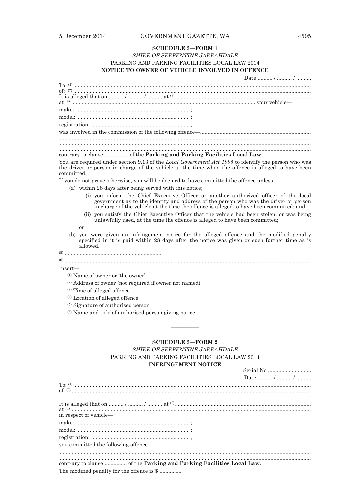#### **SCHEDULE 3—FORM 1**

## *SHIRE OF SERPENTINE JARRAHDALE*  PARKING AND PARKING FACILITIES LOCAL LAW 2014 **NOTICE TO OWNER OF VEHICLE INVOLVED IN OFFENCE**

|                                                                                                                                           | Date  /  / |
|-------------------------------------------------------------------------------------------------------------------------------------------|------------|
|                                                                                                                                           |            |
|                                                                                                                                           |            |
|                                                                                                                                           |            |
|                                                                                                                                           |            |
|                                                                                                                                           |            |
|                                                                                                                                           |            |
|                                                                                                                                           |            |
|                                                                                                                                           |            |
|                                                                                                                                           |            |
|                                                                                                                                           |            |
| $\mathbf{r}$ , and the set of $\mathbf{r}$ , and $\mathbf{r}$ , and $\mathbf{r}$ , and $\mathbf{r}$ , and $\mathbf{r}$ , and $\mathbf{r}$ |            |

## contrary to clause ................ of the **Parking and Parking Facilities Local Law.**

You are required under section 9.13 of the *Local Government Act 1995* to identify the person who was the driver or person in charge of the vehicle at the time when the offence is alleged to have been committed.

If you do not prove otherwise, you will be deemed to have committed the offence unless—

- (a) within 28 days after being served with this notice;
	- (i) you inform the Chief Executive Officer or another authorized officer of the local government as to the identity and address of the person who was the driver or person in charge of the vehicle at the time the offence is alleged to have been committed; and
	- (ii) you satisfy the Chief Executive Officer that the vehicle had been stolen, or was being unlawfully used, at the time the offence is alleged to have been committed;

or

- (b) you were given an infringement notice for the alleged offence and the modified penalty specified in it is paid within 28 days after the notice was given or such further time as is allowed.
- (5) .................................................................

(6) .....................................................................................................................................................................

Insert—

- (1) Name of owner or 'the owner'
- (2) Address of owner (not required if owner not named)
- (3) Time of alleged offence
- (4) Location of alleged offence
- (5) Signature of authorised person
- (6) Name and title of authorised person giving notice

# **SCHEDULE 3—FORM 2**

————

## *SHIRE OF SERPENTINE JARRAHDALE*  PARKING AND PARKING FACILITIES LOCAL LAW 2014 **INFRINGEMENT NOTICE**

|                                                                      | Date  /  / |  |  |  |  |
|----------------------------------------------------------------------|------------|--|--|--|--|
|                                                                      |            |  |  |  |  |
|                                                                      |            |  |  |  |  |
|                                                                      |            |  |  |  |  |
|                                                                      |            |  |  |  |  |
|                                                                      |            |  |  |  |  |
| in respect of vehicle—                                               |            |  |  |  |  |
|                                                                      |            |  |  |  |  |
|                                                                      |            |  |  |  |  |
|                                                                      |            |  |  |  |  |
| you committed the following offence—                                 |            |  |  |  |  |
|                                                                      |            |  |  |  |  |
|                                                                      |            |  |  |  |  |
| contrary to clause  of the Parking and Parking Facilities Local Law. |            |  |  |  |  |
|                                                                      |            |  |  |  |  |

The modified penalty for the offence is \$ ...............